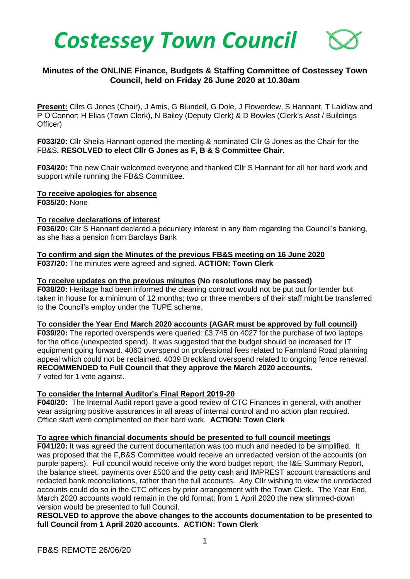

# **Minutes of the ONLINE Finance, Budgets & Staffing Committee of Costessey Town Council, held on Friday 26 June 2020 at 10.30am**

**Present:** Cllrs G Jones (Chair), J Amis, G Blundell, G Dole, J Flowerdew, S Hannant, T Laidlaw and P O'Connor; H Elias (Town Clerk), N Bailey (Deputy Clerk) & D Bowles (Clerk's Asst / Buildings Officer)

**F033/20:** Cllr Sheila Hannant opened the meeting & nominated Cllr G Jones as the Chair for the FB&S**. RESOLVED to elect Cllr G Jones as F, B & S Committee Chair.**

**F034/20:** The new Chair welcomed everyone and thanked Cllr S Hannant for all her hard work and support while running the FB&S Committee.

#### **To receive apologies for absence**

**F035/20:** None

#### **To receive declarations of interest**

**F036/20:** Cllr S Hannant declared a pecuniary interest in any item regarding the Council's banking, as she has a pension from Barclays Bank

### **To confirm and sign the Minutes of the previous FB&S meeting on 16 June 2020 F037/20:** The minutes were agreed and signed. **ACTION: Town Clerk**

#### **To receive updates on the previous minutes (No resolutions may be passed)**

**F038/20:** Heritage had been informed the cleaning contract would not be put out for tender but taken in house for a minimum of 12 months; two or three members of their staff might be transferred to the Council's employ under the TUPE scheme.

#### **To consider the Year End March 2020 accounts (AGAR must be approved by full council)**

**F039/20:** The reported overspends were queried: £3,745 on 4027 for the purchase of two laptops for the office (unexpected spend). It was suggested that the budget should be increased for IT equipment going forward. 4060 overspend on professional fees related to Farmland Road planning appeal which could not be reclaimed. 4039 Breckland overspend related to ongoing fence renewal. **RECOMMENDED to Full Council that they approve the March 2020 accounts.** 7 voted for 1 vote against.

## **To consider the Internal Auditor's Final Report 2019-20**

**F040/20:** The Internal Audit report gave a good review of CTC Finances in general, with another year assigning positive assurances in all areas of internal control and no action plan required. Office staff were complimented on their hard work. **ACTION: Town Clerk**

#### **To agree which financial documents should be presented to full council meetings**

**F041/20:** It was agreed the current documentation was too much and needed to be simplified. It was proposed that the F,B&S Committee would receive an unredacted version of the accounts (on purple papers). Full council would receive only the word budget report, the I&E Summary Report, the balance sheet, payments over £500 and the petty cash and IMPREST account transactions and redacted bank reconciliations, rather than the full accounts. Any Cllr wishing to view the unredacted accounts could do so in the CTC offices by prior arrangement with the Town Clerk. The Year End, March 2020 accounts would remain in the old format; from 1 April 2020 the new slimmed-down version would be presented to full Council.

**RESOLVED to approve the above changes to the accounts documentation to be presented to full Council from 1 April 2020 accounts. ACTION: Town Clerk**